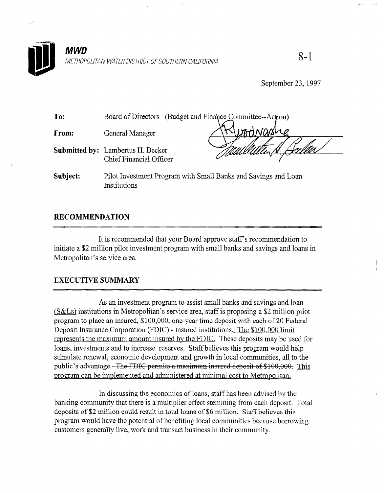

September 23, 1997

| To:      | (Budget and Finance Committee--Action)<br>Board of Directors                   |  |
|----------|--------------------------------------------------------------------------------|--|
| From:    | General Manager                                                                |  |
|          | <b>Submitted by:</b> Lambertus H. Becker<br><b>Chief Financial Officer</b>     |  |
| Subject: | Pilot Investment Program with Small Banks and Savings and Loan<br>Institutions |  |

# RECOMMENDATION

It is recommended that your Board approve staff's recommendation to initiate a \$2 million pilot investment program with small banks and savings and loans in Metropolitan's service area.

# EXECUTIVE SUMMARY

As an investment program to assist small banks and savings and savings and loan  $\alpha$ (S&Ls) institutions in Metropolitan's service area, state in Metropolitan's service and pilot is proposition pi  $(S&Ls)$  institutions in Metropolitan's service area, staff is proposing a \$2 million pilot program to place an insured, \$100,000, one-year time deposit with each of 20 Federal Deposit Insurance Corporation (FDIC) - insured institutions. The \$100,000 limit represents the maximum amount insured by the FDIC. These deposits may be used for loans, investments and to increase reserves. Staff believes this program would help sumulate renewal, economic development and growth in local communities, all to the public's advantage. The FDIC permits a maximum insured deposit of \$100,000. This program can be implemented and administered at minimal cost to Metropolitan.

In discussing the economics of loans, staff has been advised by the banking community that there is a multiplier effect stemming from each deposit. Total deposits of \$2 million could result in total loans of \$6 million. Staff believes this program would have the potential of benefiting local communities because borrowing. customers generally live, work and transact business in their community.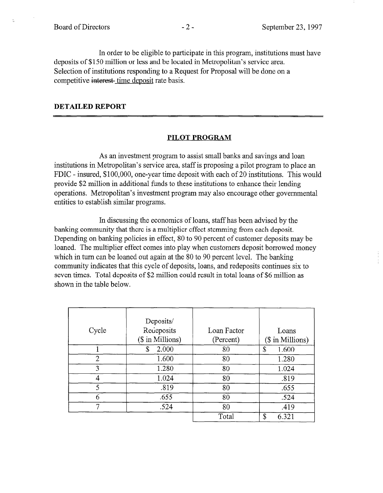$\tau_{\rm c}$ 

In order to be eligible to participate in this program, institutions must have deposits of \$150 million or less and be located in Metropolitan's service area. Selection of institutions responding to a Request for Proposal will be done on a competitive interest- time deposit rate basis.

## DETAILED REPORT

### PILOT PROGRAM

As an investment program to assist small banks and savings and loan institutions in Metropolitan's service area, staff is proposing a pilot program to place an FDIC - insured, \$100,000, one-year time deposit with each of 20 institutions. This would provide \$2 million in additional funds to these institutions to enhance their lending operations. Metropolitan's investment program may also encourage other governmental entities to establish similar programs.

In discussing the economics of loans, staff has been advised by the banking community that there is a multiplier effect stemming from each deposit. Depending on banking policies in effect, 80 to 90 percent of customer deposits may be loaned. The multiplier effect comes into play when customers deposit borrowed money which in turn can be loaned out again at the 80 to 90 percent level. The banking which in turn can be found out again at the  $\frac{1}{20}$  before never, and banking community indicates that this cycle of deposits, ioans, and redeposits commutes six to seven times. Total deposits of \$2 million could result in total loans of \$6 million as shown in the table below.

|                | Deposits/        |             |                  |
|----------------|------------------|-------------|------------------|
| Cycle          | Recieposits      | Loan Factor | Loans            |
|                | (\$ in Millions) | (Percent)   | (\$ in Millions) |
|                | 2.000<br>S       | 80          | \$<br>1.600      |
| $\overline{2}$ | 1.600            | 80          | 1.280            |
| 3              | 1.280            | 80          | 1.024            |
| 4              | 1.024            | 80          | .819             |
| 5              | .819             | 80          | .655             |
| h              | .655             | 80          | .524             |
| 7              | .524             | 80          | .419             |
|                |                  | Total       | \$<br>6.321      |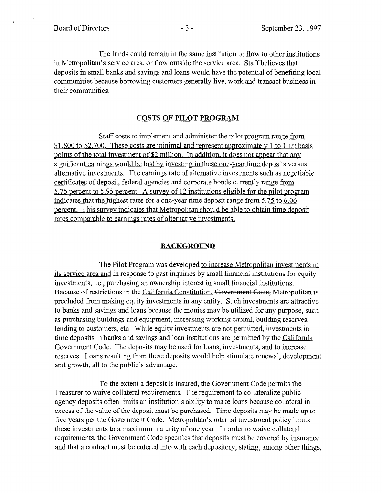ų.

The funds could remain in the same institution or flow to other institutions in Metropolitan's service area, or flow outside the service area. Staff believes that deposits in small banks and savings and loans would have the potential of benefiting local communities because borrowing customers generally live, work and transact business in their communities.

## COSTS OF PILOT PROGRAM

Staff costs to implement and administer the pilot program range from \$1,800 to \$2,700. These costs are minimal and represent approximately 1 to 1  $1/2$  basis points of the total investment of \$2 million. In addition, it does not appear that any significant earnings would be lost by investing in these one-year time deposits versus alternative investments. The earnings rate of alternative investments such as negotiable certificates of denosit. federal agencies and corporate bonds currentlv range from 5.75 percent to 5.95 percent. A survey of 12 institutions eligible for the pilot program indicates that the highest rates for a one-vear time denosit range from 5.75 to 6.06 percent. This survey indicates that Metropolitan should be able to obtain time deposit rates comparable to earnings rates of alternative investments.

#### BACKGROUND

The Pilot Program was developed to increase Metropolitan investments in inc i not i regiam was developed <u>to increase wedepotitan investments in</u> is service area and in response to past inquiries by small financial institutions it investments, i.e., purchasing an ownership interest in small financial institutions. Because of restrictions in the California Constitution, Government Code, Metropolitan is precluded from making equity investments in any entity. Such investments are attractive to banks and savings and loans because the monies may be utilized for any purpose, such as purchasing buildings and equipment, increasing working capital, building reserves, tending to customers, etc. While equity investments are not permitted, investments in time deposits in banks and savings and loan institutions are permitted by the California Government Code. The deposits may be used for loans, investments, and to increase reserves. Loans resulting from these deposits would help stimulate renewal, development and growth, all to the public's advantage.

To the extent a deposit is insured, the Government Code permits the Treasurer to waive collateral requirements. The requirement to collateralize public agency deposits often limits an institution's ability to make loans because collateral in excess of the value of the deposit must be purchased. Time deposits may be made up to five years per the Government Code. Metropolitan's internal investment policy limits these investments to a maximum maturity of one year. In order to waive collateral requirements, the Government Code specifies that deposits must be covered by insurance and that a contract must be entered into with each depository, stating, among other things,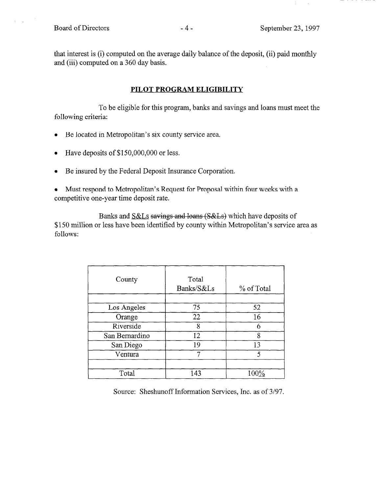$\mathbf{r} = \mathbf{r}$ 

that interest is (i) computed on the average daily balance of the deposit, (ii) paid monthly and (iii) computed on a 360 day basis.

# PILOT PROGRAM ELIGIBILITY

To be eligible for this program, banks and savings and loans must meet the following criteria:

- Be located in Metropolitan's six county service area.
- Have deposits of \$150,000,000 or less.
- Be insured by the Federal Deposit Insurance Corporation.
- Must respond to Metropolitan's Request for Proposal within four weeks with a competitive one-year time deposit rate.

Banks and S&Ls savings and loans (S&Ls) which have deposits of \$150 million or less have been identified by county within Metropolitan's service area as follows:

| County         | Total<br>Banks/S&Ls | % of Total |
|----------------|---------------------|------------|
| Los Angeles    | 75                  | 52         |
| Orange         | 22                  | 16         |
| Riverside      | 8                   |            |
| San Bernardino | 12                  | 8          |
| San Diego      | 19                  | 13         |
| Ventura        |                     | 5          |
|                |                     |            |
| Total          | 143                 | $100\%$    |

Source: Sheshunoff Information Services, Inc. as of 3/97.